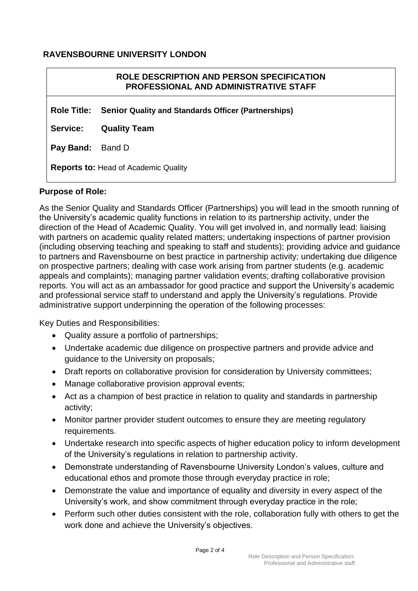# **RAVENSBOURNE UNIVERSITY LONDON**

**Reports to:** Head of Academic Quality

# **Pay Band:** Band D **Service: Quality Team Role Title: Senior Quality and Standards Officer (Partnerships) ROLE DESCRIPTION AND PERSON SPECIFICATION PROFESSIONAL AND ADMINISTRATIVE STAFF**

# **Purpose of Role:**

As the Senior Quality and Standards Officer (Partnerships) you will lead in the smooth running of the University's academic quality functions in relation to its partnership activity, under the direction of the Head of Academic Quality. You will get involved in, and normally lead: liaising with partners on academic quality related matters; undertaking inspections of partner provision (including observing teaching and speaking to staff and students); providing advice and guidance to partners and Ravensbourne on best practice in partnership activity; undertaking due diligence on prospective partners; dealing with case work arising from partner students (e.g. academic appeals and complaints); managing partner validation events; drafting collaborative provision reports. You will act as an ambassador for good practice and support the University's academic and professional service staff to understand and apply the University's regulations. Provide administrative support underpinning the operation of the following processes:

Key Duties and Responsibilities:

- Quality assure a portfolio of partnerships;
- Undertake academic due diligence on prospective partners and provide advice and guidance to the University on proposals;
- Draft reports on collaborative provision for consideration by University committees;
- Manage collaborative provision approval events;
- Act as a champion of best practice in relation to quality and standards in partnership activity;
- Monitor partner provider student outcomes to ensure they are meeting regulatory requirements.
- Undertake research into specific aspects of higher education policy to inform development of the University's regulations in relation to partnership activity.
- Demonstrate understanding of Ravensbourne University London's values, culture and educational ethos and promote those through everyday practice in role;
- Demonstrate the value and importance of equality and diversity in every aspect of the University's work, and show commitment through everyday practice in the role;
- Perform such other duties consistent with the role, collaboration fully with others to get the work done and achieve the University's objectives.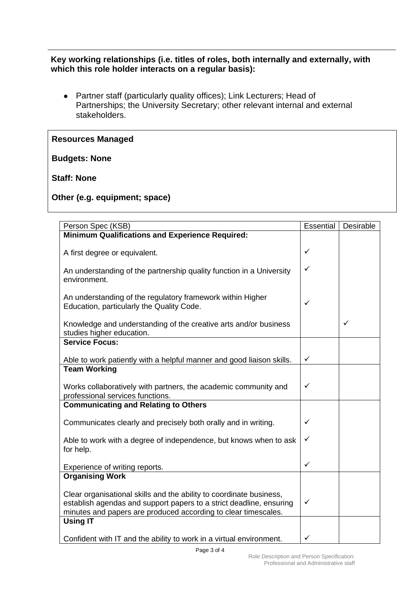## **Key working relationships (i.e. titles of roles, both internally and externally, with which this role holder interacts on a regular basis):**

● Partner staff (particularly quality offices); Link Lecturers; Head of Partnerships; the University Secretary; other relevant internal and external stakeholders.

### **Resources Managed**

#### **Budgets: None**

### **Staff: None**

**Other (e.g. equipment; space)**

| Person Spec (KSB)                                                                                                                                                                                            | Essential | Desirable    |
|--------------------------------------------------------------------------------------------------------------------------------------------------------------------------------------------------------------|-----------|--------------|
| <b>Minimum Qualifications and Experience Required:</b>                                                                                                                                                       |           |              |
|                                                                                                                                                                                                              |           |              |
| A first degree or equivalent.                                                                                                                                                                                | ✓         |              |
| An understanding of the partnership quality function in a University<br>environment.                                                                                                                         | ✓         |              |
| An understanding of the regulatory framework within Higher<br>Education, particularly the Quality Code.                                                                                                      | ✓         |              |
| Knowledge and understanding of the creative arts and/or business<br>studies higher education.                                                                                                                |           | $\checkmark$ |
| <b>Service Focus:</b>                                                                                                                                                                                        |           |              |
| Able to work patiently with a helpful manner and good liaison skills.                                                                                                                                        | ✓         |              |
| <b>Team Working</b>                                                                                                                                                                                          |           |              |
| Works collaboratively with partners, the academic community and<br>professional services functions.                                                                                                          | ✓         |              |
| <b>Communicating and Relating to Others</b>                                                                                                                                                                  |           |              |
| Communicates clearly and precisely both orally and in writing.                                                                                                                                               | ✓         |              |
| Able to work with a degree of independence, but knows when to ask<br>for help.                                                                                                                               | ✓         |              |
| Experience of writing reports.                                                                                                                                                                               | ✓         |              |
| <b>Organising Work</b>                                                                                                                                                                                       |           |              |
| Clear organisational skills and the ability to coordinate business,<br>establish agendas and support papers to a strict deadline, ensuring<br>minutes and papers are produced according to clear timescales. | ✓         |              |
| <b>Using IT</b>                                                                                                                                                                                              |           |              |
| Confident with IT and the ability to work in a virtual environment.                                                                                                                                          | ✓         |              |